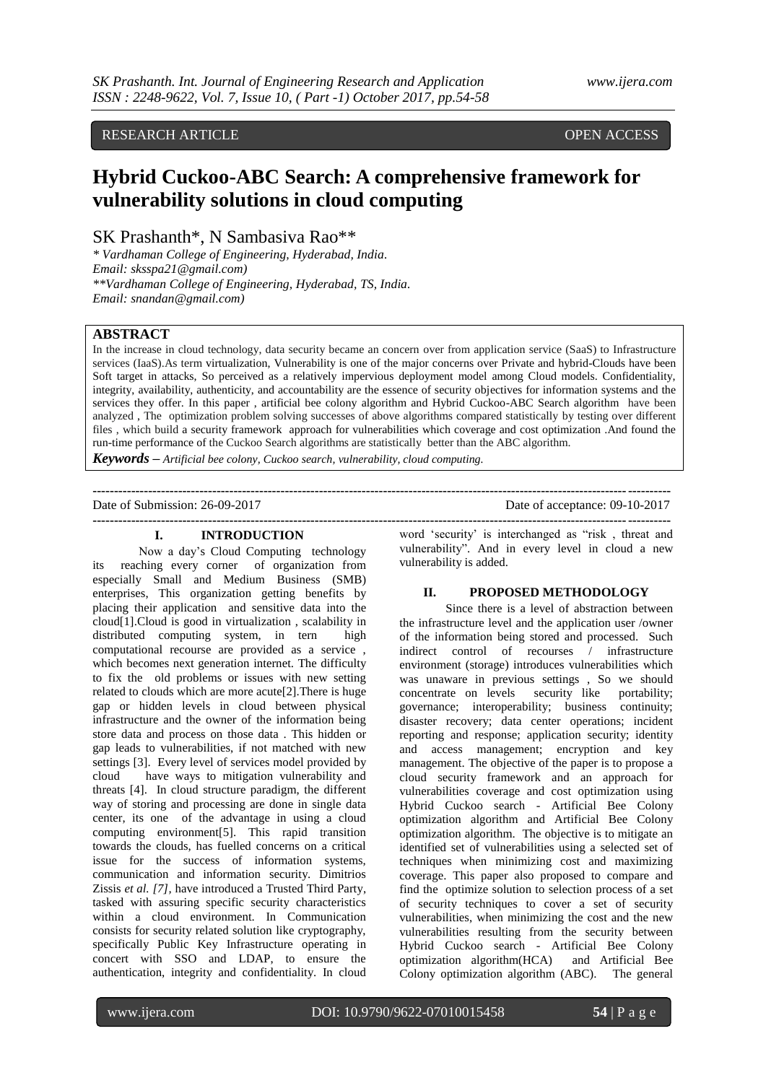# RESEARCH ARTICLE OPEN ACCESS

# **Hybrid Cuckoo-ABC Search: A comprehensive framework for vulnerability solutions in cloud computing**

SK Prashanth\*, N Sambasiva Rao\*\*

*\* Vardhaman College of Engineering, Hyderabad, India. Email: sksspa21@gmail.com) \*\*Vardhaman College of Engineering, Hyderabad, TS, India. Email: snandan@gmail.com)*

# **ABSTRACT**

In the increase in cloud technology, data security became an concern over from application service (SaaS) to Infrastructure services (IaaS). As term virtualization, Vulnerability is one of the major concerns over Private and hybrid-Clouds have been Soft target in attacks, So perceived as a relatively impervious deployment model among Cloud models. Confidentiality, integrity, availability, authenticity, and accountability are the essence of security objectives for information systems and the services they offer. In this paper , artificial bee colony algorithm and Hybrid Cuckoo-ABC Search algorithm have been analyzed , The optimization problem solving successes of above algorithms compared statistically by testing over different files , which build a security framework approach for vulnerabilities which coverage and cost optimization .And found the run-time performance of the Cuckoo Search algorithms are statistically better than the ABC algorithm.

*Keywords* **–** *Artificial bee colony, Cuckoo search, vulnerability, cloud computing.*

**---------------------------------------------------------------------------------------------------------------------------------------**

Date of Submission: 26-09-2017 Date of acceptance: 09-10-2017

# **I. INTRODUCTION**

Now a day"s Cloud Computing technology its reaching every corner of organization from especially Small and Medium Business (SMB) enterprises, This organization getting benefits by placing their application and sensitive data into the cloud[1].Cloud is good in virtualization , scalability in distributed computing system, in tern high computational recourse are provided as a service , which becomes next generation internet. The difficulty to fix the old problems or issues with new setting related to clouds which are more acute[2].There is huge gap or hidden levels in cloud between physical infrastructure and the owner of the information being store data and process on those data . This hidden or gap leads to vulnerabilities, if not matched with new settings [3]. Every level of services model provided by cloud have ways to mitigation vulnerability and threats [4]. In cloud structure paradigm, the different way of storing and processing are done in single data center, its one of the advantage in using a cloud computing environment[5]. This rapid transition towards the clouds, has fuelled concerns on a critical issue for the success of information systems, communication and information security. Dimitrios Zissis *et al. [7],* have introduced a Trusted Third Party, tasked with assuring specific security characteristics within a cloud environment. In Communication consists for security related solution like cryptography, specifically Public Key Infrastructure operating in concert with SSO and LDAP, to ensure the authentication, integrity and confidentiality. In cloud

**--------------------------------------------------------------------------------------------------------------------------------------** word "security" is interchanged as "risk , threat and vulnerability". And in every level in cloud a new vulnerability is added.

#### **II. PROPOSED METHODOLOGY**

Since there is a level of abstraction between the infrastructure level and the application user /owner of the information being stored and processed. Such indirect control of recourses / infrastructure environment (storage) introduces vulnerabilities which was unaware in previous settings , So we should concentrate on levels security like portability; governance; interoperability; business continuity; disaster recovery; data center operations; incident reporting and response; application security; identity and access management; encryption and key management. The objective of the paper is to propose a cloud security framework and an approach for vulnerabilities coverage and cost optimization using Hybrid Cuckoo search - Artificial Bee Colony optimization algorithm and Artificial Bee Colony optimization algorithm. The objective is to mitigate an identified set of vulnerabilities using a selected set of techniques when minimizing cost and maximizing coverage. This paper also proposed to compare and find the optimize solution to selection process of a set of security techniques to cover a set of security vulnerabilities, when minimizing the cost and the new vulnerabilities resulting from the security between Hybrid Cuckoo search - Artificial Bee Colony optimization algorithm(HCA) and Artificial Bee Colony optimization algorithm (ABC). The general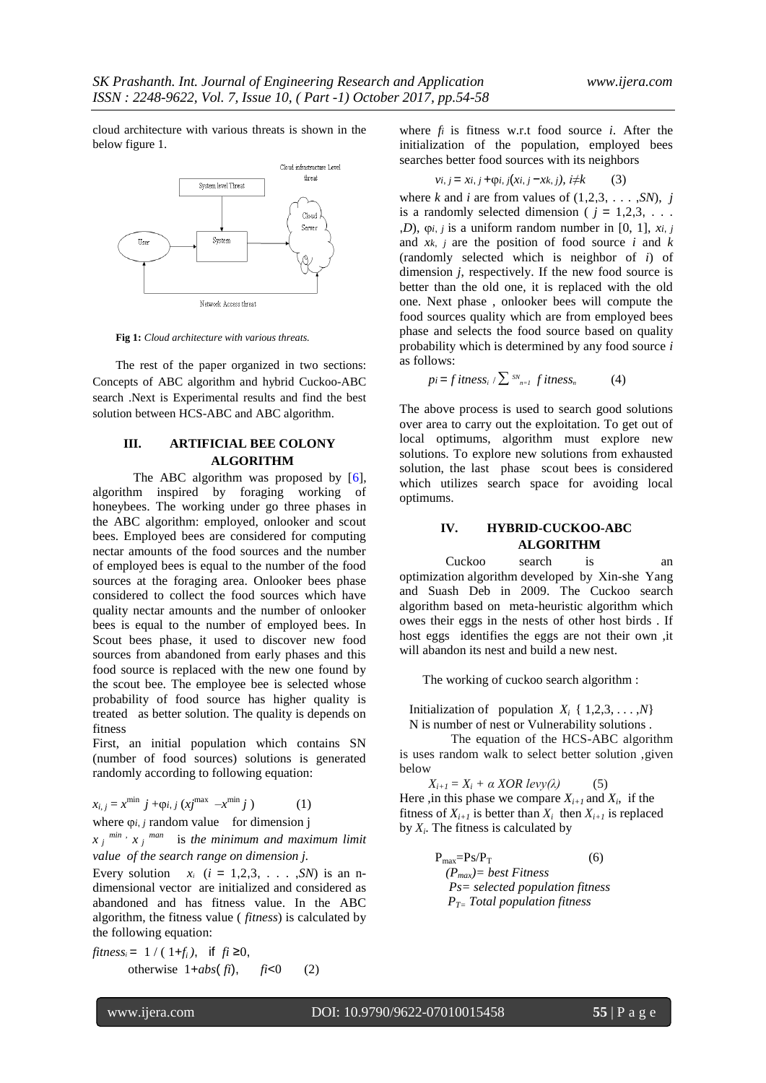cloud architecture with various threats is shown in the below figure 1.



**Fig 1:** *Cloud architecture with various threats.*

The rest of the paper organized in two sections: Concepts of ABC algorithm and hybrid Cuckoo-ABC search .Next is Experimental results and find the best solution between HCS-ABC and ABC algorithm.

# **III. ARTIFICIAL BEE COLONY ALGORITHM**

The ABC algorithm was proposed by [6], algorithm inspired by foraging working of honeybees. The working under go three phases in the ABC algorithm: employed, onlooker and scout bees. Employed bees are considered for computing nectar amounts of the food sources and the number of employed bees is equal to the number of the food sources at the foraging area. Onlooker bees phase considered to collect the food sources which have quality nectar amounts and the number of onlooker bees is equal to the number of employed bees. In Scout bees phase, it used to discover new food sources from abandoned from early phases and this food source is replaced with the new one found by the scout bee. The employee bee is selected whose probability of food source has higher quality is treated as better solution. The quality is depends on fitness

First, an initial population which contains SN (number of food sources) solutions is generated randomly according to following equation:

 $x_{i,j} = x^{\min} j + \varphi i, j (xj^{\max} - x^{\min} j)$  (1) where  $\varphi$ *i*, *j* random value for dimension **j** 

 $x_j$ <sup> $min$ </sup>,  $x_j$ <sup> $man$ </sup> is the minimum and maximum limit *value of the search range on dimension j.*

Every solution  $x_i$  ( $i = 1,2,3, \ldots, SN$ ) is an ndimensional vector are initialized and considered as abandoned and has fitness value. In the ABC algorithm, the fitness value ( *fitness*) is calculated by the following equation:

$$
fitness_i = 1 / (1 + f_i), \text{ if } fi \ge 0,
$$
  
otherwise 1 + abs( $f_i$ ),  $f_i < 0$  (2)

where  $f_i$  is fitness w.r.t food source  $i$ . After the initialization of the population, employed bees searches better food sources with its neighbors

$$
vi, j = xi, j + \varphi i, j(xi, j - xk, j), i \neq k \tag{3}
$$

where *k* and *i* are from values of  $(1,2,3, \ldots, SN)$ , *j* is a randomly selected dimension ( $j = 1,2,3, \ldots$ ) ,*D*),  $\varphi$ *i*, *j* is a uniform random number in [0, 1], *xi*, *j* and *xk*, *j* are the position of food source *i* and *k* (randomly selected which is neighbor of *i*) of dimension *j*, respectively. If the new food source is better than the old one, it is replaced with the old one. Next phase , onlooker bees will compute the food sources quality which are from employed bees phase and selects the food source based on quality probability which is determined by any food source *i*  as follows:

 $pi = f$  *itness<sub>i</sub>* /  $\sum_{n=1}^{5N}$  *f itness<sub>n</sub>* (4)

The above process is used to search good solutions over area to carry out the exploitation. To get out of local optimums, algorithm must explore new solutions. To explore new solutions from exhausted solution, the last phase scout bees is considered which utilizes search space for avoiding local optimums.

# **IV. HYBRID-CUCKOO-ABC ALGORITHM**

Cuckoo search is an optimization algorithm developed by Xin-she Yang and Suash Deb in 2009. The Cuckoo search algorithm based on meta-heuristic algorithm which owes their eggs in the nests of other host birds . If host eggs identifies the eggs are not their own ,it will abandon its nest and build a new nest.

The working of cuckoo search algorithm :

Initialization of population  $X_i \{ 1,2,3,...,N \}$ N is number of nest or Vulnerability solutions .

 The equation of the HCS-ABC algorithm is uses random walk to select better solution ,given below

 $X_{i+1} = X_i + \alpha XOR \, levv(\lambda)$  (5) Here ,in this phase we compare  $X_{i+1}$  and  $X_i$ , if the fitness of  $X_{i+1}$  is better than  $X_i$  then  $X_{i+1}$  is replaced by  $X_i$ . The fitness is calculated by

$$
P_{\text{max}} = PS/P_T
$$
 (6)  
\n
$$
(P_{\text{max}}) = best \text{ Fitness}
$$
  
\n
$$
Ps = selected \text{ population fitness}
$$
  
\n
$$
P_{T=} \text{Total population fitness}
$$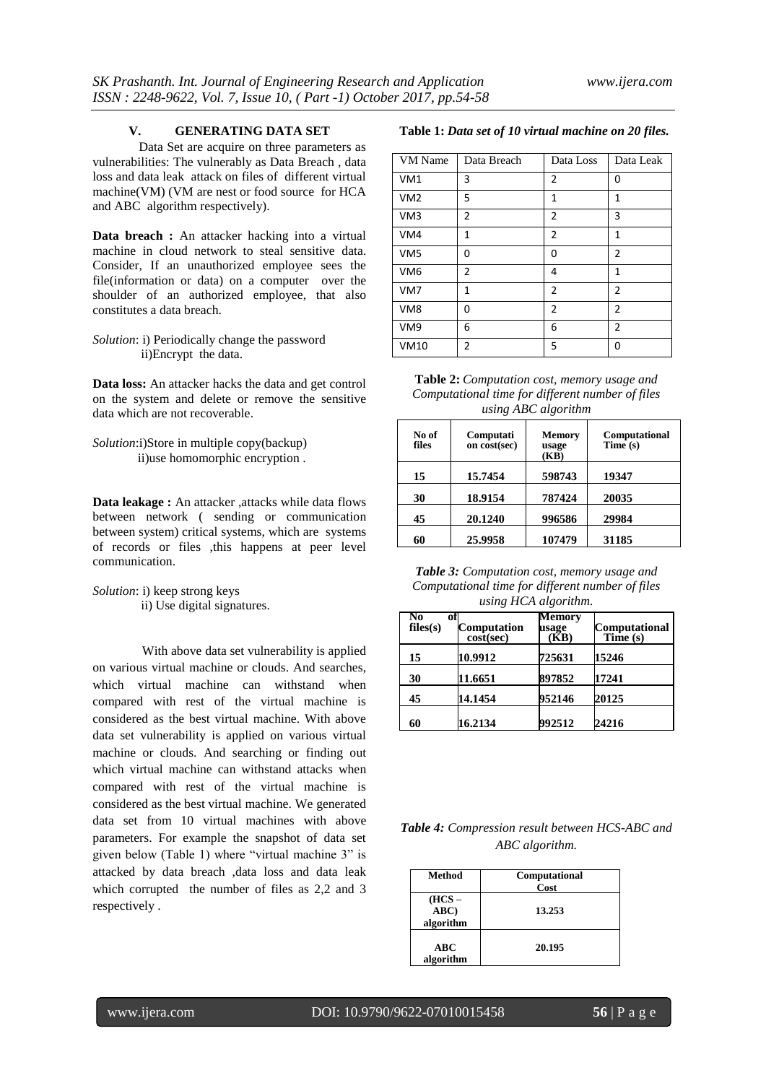#### **V. GENERATING DATA SET**

Data Set are acquire on three parameters as vulnerabilities: The vulnerably as Data Breach , data loss and data leak attack on files of different virtual machine(VM) (VM are nest or food source for HCA and ABC algorithm respectively).

**Data breach :** An attacker hacking into a virtual machine in cloud network to steal sensitive data. Consider, If an unauthorized employee sees the file(information or data) on a computer over the shoulder of an authorized employee, that also constitutes a data breach.

*Solution*: i) Periodically change the password ii)Encrypt the data.

**Data loss:** An attacker hacks the data and get control on the system and delete or remove the sensitive data which are not recoverable.

*Solution*:i)Store in multiple copy(backup) ii)use homomorphic encryption .

**Data leakage :** An attacker ,attacks while data flows between network ( sending or communication between system) critical systems, which are systems of records or files ,this happens at peer level communication.

*Solution*: i) keep strong keys ii) Use digital signatures.

With above data set vulnerability is applied on various virtual machine or clouds. And searches, which virtual machine can withstand when compared with rest of the virtual machine is considered as the best virtual machine. With above data set vulnerability is applied on various virtual machine or clouds. And searching or finding out which virtual machine can withstand attacks when compared with rest of the virtual machine is considered as the best virtual machine. We generated data set from 10 virtual machines with above parameters. For example the snapshot of data set given below (Table 1) where "virtual machine 3" is attacked by data breach ,data loss and data leak which corrupted the number of files as 2,2 and 3 respectively .

#### **Table 1:** *Data set of 10 virtual machine on 20 files.*

| VM Name         | Data Breach    | Data Loss      | Data Leak      |
|-----------------|----------------|----------------|----------------|
| VM <sub>1</sub> | 3              | 2              | 0              |
| VM <sub>2</sub> | 5              | 1              | 1              |
| VM <sub>3</sub> | $\overline{2}$ | $\overline{2}$ | 3              |
| VM4             | 1              | $\overline{2}$ | $\mathbf{1}$   |
| VM <sub>5</sub> | 0              | 0              | 2              |
| VM <sub>6</sub> | 2              | 4              | 1              |
| VM7             | 1              | $\overline{2}$ | $\overline{2}$ |
| VM <sub>8</sub> | 0              | $\overline{2}$ | $\overline{2}$ |
| VM9             | 6              | 6              | 2              |
| <b>VM10</b>     | 2              | 5              | 0              |

**Table 2:** *Computation cost, memory usage and Computational time for different number of files using ABC algorithm*

| No of<br>files | Computati<br>on cost(sec) | <b>Memory</b><br>usage<br>(KB) | Computational<br>Time (s) |
|----------------|---------------------------|--------------------------------|---------------------------|
| 15             | 15.7454                   | 598743                         | 19347                     |
| 30             | 18.9154                   | 787424                         | 20035                     |
| 45             | 20.1240                   | 996586                         | 29984                     |
| 60             | 25.9958                   | 107479                         | 31185                     |

*Table 3: Computation cost, memory usage and Computational time for different number of files using HCA algorithm.*

| No<br>files(s) | of<br>Computation<br>cost(sec) | Memorv<br>usage<br>(KB) | <b>Computational</b><br>Time (s) |
|----------------|--------------------------------|-------------------------|----------------------------------|
| 15             | 10.9912                        | 725631                  | 15246                            |
| 30             | 11.6651                        | 897852                  | 17241                            |
| 45             | 14.1454                        | 952146                  | 20125                            |
| 60             | 16.2134                        | 992512                  | 24216                            |

*Table 4: Compression result between HCS-ABC and ABC algorithm.*

| Method                      | Computational<br>Cost |
|-----------------------------|-----------------------|
| $HCS -$<br>ABC<br>algorithm | 13.253                |
| ABC<br>algorithm            | 20.195                |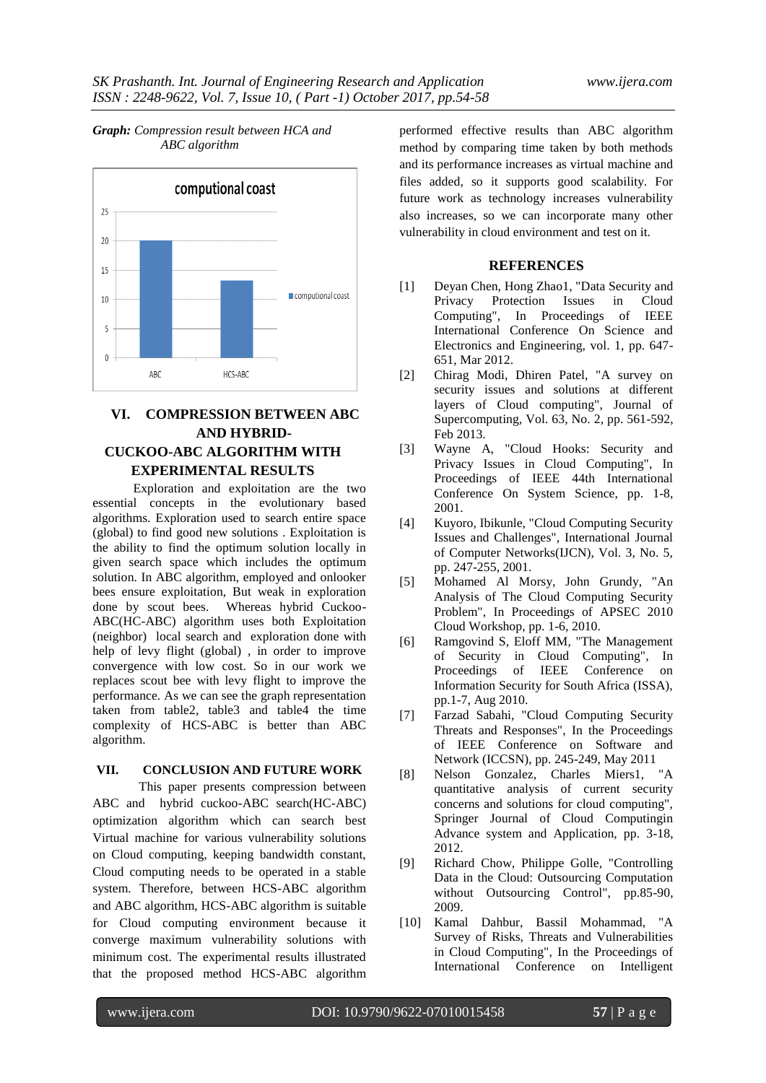

# *Graph: Compression result between HCA and ABC algorithm*

# **VI. COMPRESSION BETWEEN ABC AND HYBRID-CUCKOO-ABC ALGORITHM WITH EXPERIMENTAL RESULTS**

Exploration and exploitation are the two essential concepts in the evolutionary based algorithms. Exploration used to search entire space (global) to find good new solutions . Exploitation is the ability to find the optimum solution locally in given search space which includes the optimum solution. In ABC algorithm, employed and onlooker bees ensure exploitation, But weak in exploration done by scout bees. Whereas hybrid Cuckoo-ABC(HC-ABC) algorithm uses both Exploitation (neighbor) local search and exploration done with help of levy flight (global) , in order to improve convergence with low cost. So in our work we replaces scout bee with levy flight to improve the performance. As we can see the graph representation taken from table2, table3 and table4 the time complexity of HCS-ABC is better than ABC algorithm.

### **VII. CONCLUSION AND FUTURE WORK**

This paper presents compression between ABC and hybrid cuckoo-ABC search(HC-ABC) optimization algorithm which can search best Virtual machine for various vulnerability solutions on Cloud computing, keeping bandwidth constant, Cloud computing needs to be operated in a stable system. Therefore, between HCS-ABC algorithm and ABC algorithm, HCS-ABC algorithm is suitable for Cloud computing environment because it converge maximum vulnerability solutions with minimum cost. The experimental results illustrated that the proposed method HCS-ABC algorithm

performed effective results than ABC algorithm method by comparing time taken by both methods and its performance increases as virtual machine and files added, so it supports good scalability. For future work as technology increases vulnerability also increases, so we can incorporate many other vulnerability in cloud environment and test on it.

## **REFERENCES**

- [1] Deyan Chen, Hong Zhao1, "Data Security and Privacy Protection Issues in Cloud Computing", In Proceedings of IEEE International Conference On Science and Electronics and Engineering, vol. 1, pp. 647- 651, Mar 2012.
- [2] Chirag Modi, Dhiren Patel, "A survey on security issues and solutions at different layers of Cloud computing", Journal of Supercomputing, Vol. 63, No. 2, pp. 561-592, Feb 2013.
- [3] Wayne A, "Cloud Hooks: Security and Privacy Issues in Cloud Computing", In Proceedings of IEEE 44th International Conference On System Science, pp. 1-8, 2001.
- [4] Kuyoro, Ibikunle, "Cloud Computing Security Issues and Challenges", International Journal of Computer Networks(IJCN), Vol. 3, No. 5, pp. 247-255, 2001.
- [5] Mohamed Al Morsy, John Grundy, "An Analysis of The Cloud Computing Security Problem", In Proceedings of APSEC 2010 Cloud Workshop, pp. 1-6, 2010.
- [6] Ramgovind S, Eloff MM, "The Management of Security in Cloud Computing", In Proceedings of IEEE Conference on Information Security for South Africa (ISSA), pp.1-7, Aug 2010.
- [7] Farzad Sabahi, "Cloud Computing Security Threats and Responses", In the Proceedings of IEEE Conference on Software and Network (ICCSN), pp. 245-249, May 2011
- [8] Nelson Gonzalez, Charles Miers1, "A quantitative analysis of current security concerns and solutions for cloud computing", Springer Journal of Cloud Computingin Advance system and Application, pp. 3-18, 2012.
- [9] Richard Chow, Philippe Golle, "Controlling Data in the Cloud: Outsourcing Computation without Outsourcing Control", pp.85-90, 2009.
- [10] Kamal Dahbur, Bassil Mohammad, "A Survey of Risks, Threats and Vulnerabilities in Cloud Computing", In the Proceedings of International Conference on Intelligent